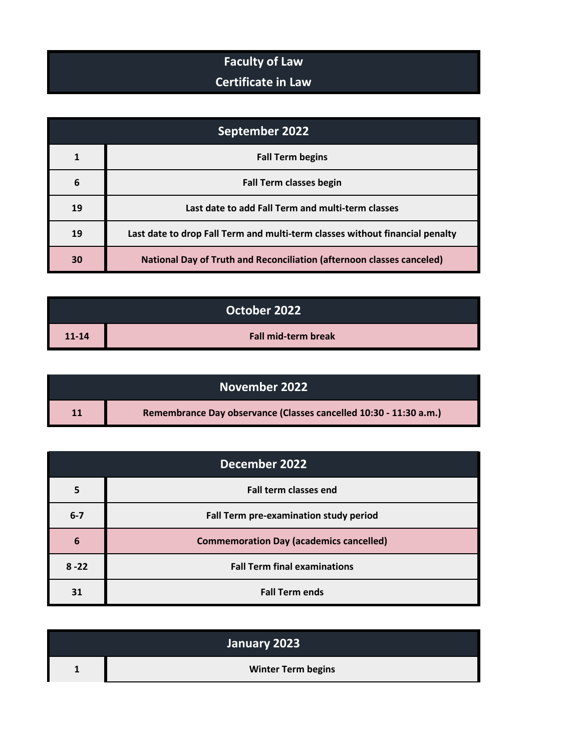## **Faculty of Law**

## **Certificate in Law**

| September 2022 |                                                                              |
|----------------|------------------------------------------------------------------------------|
|                | <b>Fall Term begins</b>                                                      |
| 6              | <b>Fall Term classes begin</b>                                               |
| 19             | Last date to add Fall Term and multi-term classes                            |
| 19             | Last date to drop Fall Term and multi-term classes without financial penalty |
| 30             | <b>National Day of Truth and Reconciliation (afternoon classes canceled)</b> |

|           | October 2022               |
|-----------|----------------------------|
| $11 - 14$ | <b>Fall mid-term break</b> |

|    | November 2022                                                     |
|----|-------------------------------------------------------------------|
| 11 | Remembrance Day observance (Classes cancelled 10:30 - 11:30 a.m.) |

| December 2022 |                                                |
|---------------|------------------------------------------------|
|               | <b>Fall term classes end</b>                   |
| $6 - 7$       | Fall Term pre-examination study period         |
| 6             | <b>Commemoration Day (academics cancelled)</b> |
| $8 - 22$      | <b>Fall Term final examinations</b>            |
| 31            | <b>Fall Term ends</b>                          |

| January 2023              |
|---------------------------|
| <b>Winter Term begins</b> |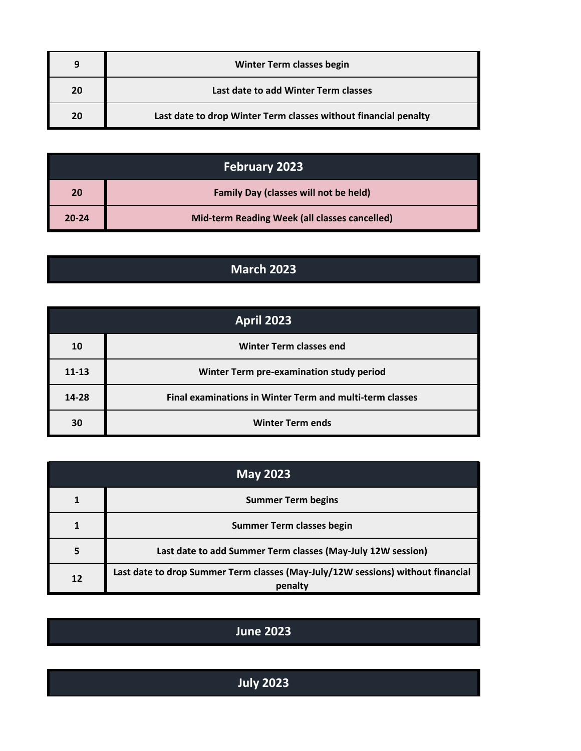| q  | <b>Winter Term classes begin</b>                                |
|----|-----------------------------------------------------------------|
| 20 | Last date to add Winter Term classes                            |
| 20 | Last date to drop Winter Term classes without financial penalty |

| <b>February 2023</b> |                                               |
|----------------------|-----------------------------------------------|
| 20                   | <b>Family Day (classes will not be held)</b>  |
| $20 - 24$            | Mid-term Reading Week (all classes cancelled) |

## **March 2023**

| April 2023 |                                                          |
|------------|----------------------------------------------------------|
| 10         | <b>Winter Term classes end</b>                           |
| $11 - 13$  | Winter Term pre-examination study period                 |
| 14-28      | Final examinations in Winter Term and multi-term classes |
| 30         | <b>Winter Term ends</b>                                  |

| <b>May 2023</b> |                                                                                            |
|-----------------|--------------------------------------------------------------------------------------------|
|                 | <b>Summer Term begins</b>                                                                  |
|                 | <b>Summer Term classes begin</b>                                                           |
|                 | Last date to add Summer Term classes (May-July 12W session)                                |
| 12              | Last date to drop Summer Term classes (May-July/12W sessions) without financial<br>penalty |

## **June 2023**

| July $2023$ |
|-------------|
|-------------|